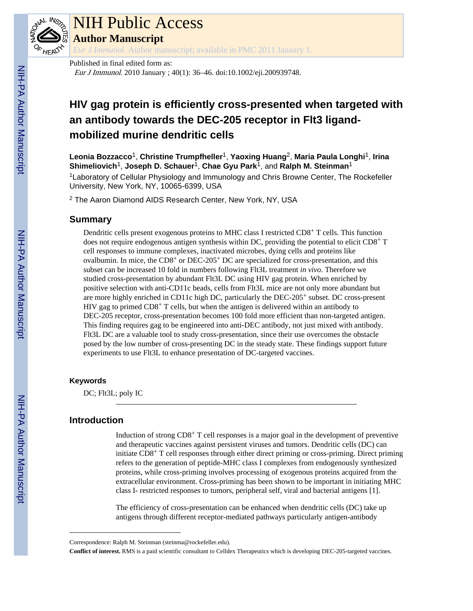

# NIH Public Access

**Author Manuscript**

*Eur J Immunol*. Author manuscript; available in PMC 2011 January 1.

Published in final edited form as: Eur J Immunol. 2010 January ; 40(1): 36–46. doi:10.1002/eji.200939748.

## **HIV gag protein is efficiently cross-presented when targeted with an antibody towards the DEC-205 receptor in Flt3 ligandmobilized murine dendritic cells**

**Leonia Bozzacco**1, **Christine Trumpfheller**1, **Yaoxing Huang**2, **Maria Paula Longhi**1, **Irina Shimeliovich**1, **Joseph D. Schauer**1, **Chae Gyu Park**1, and **Ralph M. Steinman**<sup>1</sup>

<sup>1</sup>Laboratory of Cellular Physiology and Immunology and Chris Browne Center, The Rockefeller University, New York, NY, 10065-6399, USA

2 The Aaron Diamond AIDS Research Center, New York, NY, USA

## **Summary**

Dendritic cells present exogenous proteins to MHC class I restricted CD8<sup>+</sup> T cells. This function does not require endogenous antigen synthesis within DC, providing the potential to elicit  $CD8^+$  T cell responses to immune complexes, inactivated microbes, dying cells and proteins like ovalbumin. In mice, the  $CDS^+$  or  $DEC-205^+$  DC are specialized for cross-presentation, and this subset can be increased 10 fold in numbers following Flt3L treatment *in vivo*. Therefore we studied cross-presentation by abundant Flt3L DC using HIV gag protein. When enriched by positive selection with anti-CD11c beads, cells from Flt3L mice are not only more abundant but are more highly enriched in CD11c high DC, particularly the DEC-205+ subset. DC cross-present HIV gag to primed  $CD8<sup>+</sup>$  T cells, but when the antigen is delivered within an antibody to DEC-205 receptor, cross-presentation becomes 100 fold more efficient than non-targeted antigen. This finding requires gag to be engineered into anti-DEC antibody, not just mixed with antibody. Flt3L DC are a valuable tool to study cross-presentation, since their use overcomes the obstacle posed by the low number of cross-presenting DC in the steady state. These findings support future experiments to use Flt3L to enhance presentation of DC-targeted vaccines.

## **Keywords**

DC; Flt3L; poly IC

## **Introduction**

Induction of strong  $CD8^+$  T cell responses is a major goal in the development of preventive and therapeutic vaccines against persistent viruses and tumors. Dendritic cells (DC) can initiate CD8+ T cell responses through either direct priming or cross-priming. Direct priming refers to the generation of peptide-MHC class I complexes from endogenously synthesized proteins, while cross-priming involves processing of exogenous proteins acquired from the extracellular environment. Cross-priming has been shown to be important in initiating MHC class I- restricted responses to tumors, peripheral self, viral and bacterial antigens [1].

The efficiency of cross-presentation can be enhanced when dendritic cells (DC) take up antigens through different receptor-mediated pathways particularly antigen-antibody

**Conflict of interest.** RMS is a paid scientific consultant to Celldex Therapeutics which is developing DEC-205-targeted vaccines.

Correspondence: Ralph M. Steinman (steinma@rockefeller.edu).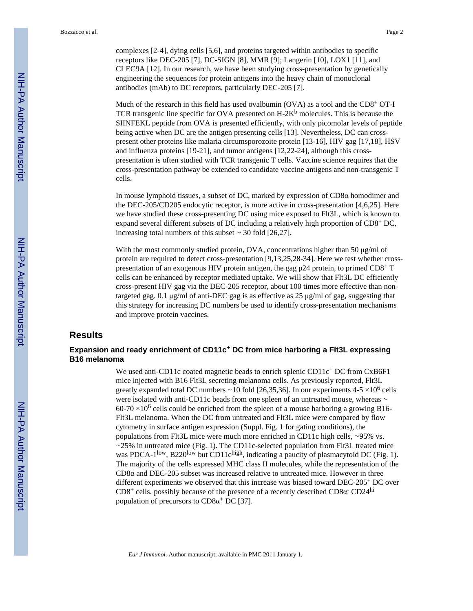complexes [2-4], dying cells [5,6], and proteins targeted within antibodies to specific receptors like DEC-205 [7], DC-SIGN [8], MMR [9]; Langerin [10], LOX1 [11], and CLEC9A [12]. In our research, we have been studying cross-presentation by genetically engineering the sequences for protein antigens into the heavy chain of monoclonal antibodies (mAb) to DC receptors, particularly DEC-205 [7].

Much of the research in this field has used ovalbumin (OVA) as a tool and the CD8<sup>+</sup> OT-I TCR transgenic line specific for OVA presented on  $H-2K^b$  molecules. This is because the SIINFEKL peptide from OVA is presented efficiently, with only picomolar levels of peptide being active when DC are the antigen presenting cells [13]. Nevertheless, DC can crosspresent other proteins like malaria circumsporozoite protein [13-16], HIV gag [17,18], HSV and influenza proteins [19-21], and tumor antigens [12,22-24], although this crosspresentation is often studied with TCR transgenic T cells. Vaccine science requires that the cross-presentation pathway be extended to candidate vaccine antigens and non-transgenic T cells.

In mouse lymphoid tissues, a subset of DC, marked by expression of  $CD8\alpha$  homodimer and the DEC-205/CD205 endocytic receptor, is more active in cross-presentation [4,6,25]. Here we have studied these cross-presenting DC using mice exposed to Flt3L, which is known to expand several different subsets of DC including a relatively high proportion of CD8+ DC, increasing total numbers of this subset ∼ 30 fold [26,27].

With the most commonly studied protein, OVA, concentrations higher than 50 μg/ml of protein are required to detect cross-presentation [9,13,25,28-34]. Here we test whether crosspresentation of an exogenous HIV protein antigen, the gag  $p24$  protein, to primed  $CD8^+$  T cells can be enhanced by receptor mediated uptake. We will show that Flt3L DC efficiently cross-present HIV gag via the DEC-205 receptor, about 100 times more effective than nontargeted gag. 0.1 μg/ml of anti-DEC gag is as effective as 25 μg/ml of gag, suggesting that this strategy for increasing DC numbers be used to identify cross-presentation mechanisms and improve protein vaccines.

## **Results**

## **Expansion and ready enrichment of CD11c+ DC from mice harboring a Flt3L expressing B16 melanoma**

We used anti-CD11c coated magnetic beads to enrich splenic CD11c<sup>+</sup> DC from CxB6F1 mice injected with B16 Flt3L secreting melanoma cells. As previously reported, Flt3L greatly expanded total DC numbers ~10 fold [26,35,36]. In our experiments 4-5 ×10<sup>6</sup> cells were isolated with anti-CD11c beads from one spleen of an untreated mouse, whereas ∼  $60-70 \times 10^6$  cells could be enriched from the spleen of a mouse harboring a growing B16-Flt3L melanoma. When the DC from untreated and Flt3L mice were compared by flow cytometry in surface antigen expression (Suppl. Fig. 1 for gating conditions), the populations from Flt3L mice were much more enriched in CD11c high cells, ∼95% vs. ∼25% in untreated mice (Fig. 1). The CD11c-selected population from Flt3L treated mice was PDCA-1<sup>low</sup>, B220<sup>low</sup> but CD11c<sup>high</sup>, indicating a paucity of plasmacytoid DC (Fig. 1). The majority of the cells expressed MHC class II molecules, while the representation of the CD8α and DEC-205 subset was increased relative to untreated mice. However in three different experiments we observed that this increase was biased toward DEC-205+ DC over  $CD8^+$  cells, possibly because of the presence of a recently described  $CD8\alpha$ <sup>-</sup>  $CD24^{\text{hi}}$ population of precursors to  $CD8\alpha^+$  DC [37].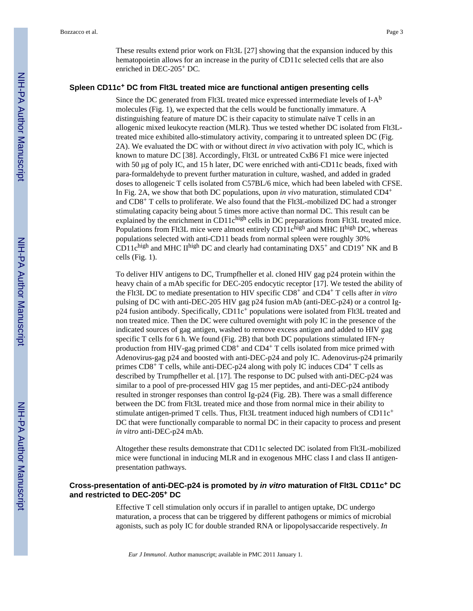These results extend prior work on Flt3L [27] showing that the expansion induced by this hematopoietin allows for an increase in the purity of CD11c selected cells that are also enriched in DEC-205+ DC.

#### **Spleen CD11c+ DC from Flt3L treated mice are functional antigen presenting cells**

Since the DC generated from Flt3L treated mice expressed intermediate levels of  $I-A^b$ molecules (Fig. 1), we expected that the cells would be functionally immature. A distinguishing feature of mature DC is their capacity to stimulate naïve T cells in an allogenic mixed leukocyte reaction (MLR). Thus we tested whether DC isolated from Flt3Ltreated mice exhibited allo-stimulatory activity, comparing it to untreated spleen DC (Fig. 2A). We evaluated the DC with or without direct *in vivo* activation with poly IC, which is known to mature DC [38]. Accordingly, Flt3L or untreated CxB6 F1 mice were injected with 50 μg of poly IC, and 15 h later, DC were enriched with anti-CD11c beads, fixed with para-formaldehyde to prevent further maturation in culture, washed, and added in graded doses to allogeneic T cells isolated from C57BL/6 mice, which had been labeled with CFSE. In Fig. 2A, we show that both DC populations, upon *in vivo* maturation, stimulated CD4<sup>+</sup> and CD8+ T cells to proliferate. We also found that the Flt3L-mobilized DC had a stronger stimulating capacity being about 5 times more active than normal DC. This result can be explained by the enrichment in CD11chigh cells in DC preparations from Flt3L treated mice. Populations from Flt3L mice were almost entirely CD11chigh and MHC IIhigh DC, whereas populations selected with anti-CD11 beads from normal spleen were roughly 30% CD11chigh and MHC IIhigh DC and clearly had contaminating  $DX5^+$  and CD19<sup>+</sup> NK and B cells (Fig. 1).

To deliver HIV antigens to DC, Trumpfheller et al. cloned HIV gag p24 protein within the heavy chain of a mAb specific for DEC-205 endocytic receptor [17]. We tested the ability of the Flt3L DC to mediate presentation to HIV specific CD8+ and CD4+ T cells after *in vitro* pulsing of DC with anti-DEC-205 HIV gag p24 fusion mAb (anti-DEC-p24) or a control Ig $p24$  fusion antibody. Specifically, CD11c<sup>+</sup> populations were isolated from Flt3L treated and non treated mice. Then the DC were cultured overnight with poly IC in the presence of the indicated sources of gag antigen, washed to remove excess antigen and added to HIV gag specific T cells for 6 h. We found (Fig. 2B) that both DC populations stimulated IFN-γ production from HIV-gag primed  $CD8<sup>+</sup>$  and  $CD4<sup>+</sup>$  T cells isolated from mice primed with Adenovirus-gag p24 and boosted with anti-DEC-p24 and poly IC. Adenovirus-p24 primarily primes  $CD8^+$  T cells, while anti-DEC-p24 along with poly IC induces  $CD4^+$  T cells as described by Trumpfheller et al. [17]. The response to DC pulsed with anti-DEC-p24 was similar to a pool of pre-processed HIV gag 15 mer peptides, and anti-DEC-p24 antibody resulted in stronger responses than control Ig-p24 (Fig. 2B). There was a small difference between the DC from Flt3L treated mice and those from normal mice in their ability to stimulate antigen-primed T cells. Thus, Flt3L treatment induced high numbers of  $CD11c^+$ DC that were functionally comparable to normal DC in their capacity to process and present *in vitro* anti-DEC-p24 mAb.

Altogether these results demonstrate that CD11c selected DC isolated from Flt3L-mobilized mice were functional in inducing MLR and in exogenous MHC class I and class II antigenpresentation pathways.

## **Cross-presentation of anti-DEC-p24 is promoted by** *in vitro* **maturation of Flt3L CD11c+ DC and restricted to DEC-205+ DC**

Effective T cell stimulation only occurs if in parallel to antigen uptake, DC undergo maturation, a process that can be triggered by different pathogens or mimics of microbial agonists, such as poly IC for double stranded RNA or lipopolysaccaride respectively. *In*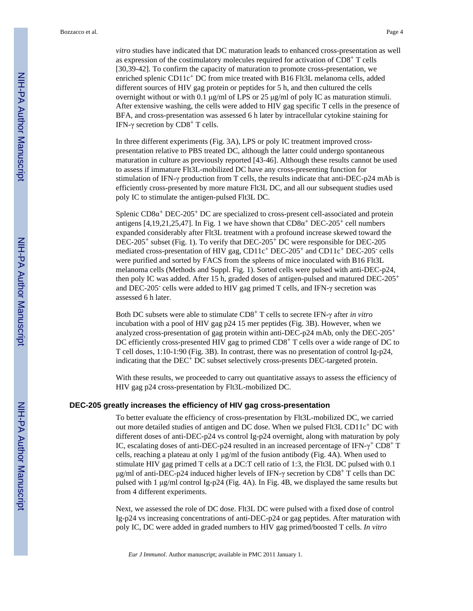*vitro* studies have indicated that DC maturation leads to enhanced cross-presentation as well as expression of the costimulatory molecules required for activation of CD8+ T cells [30,39-42]. To confirm the capacity of maturation to promote cross-presentation, we enriched splenic CD11c+ DC from mice treated with B16 Flt3L melanoma cells, added different sources of HIV gag protein or peptides for 5 h, and then cultured the cells overnight without or with 0.1 μg/ml of LPS or 25 μg/ml of poly IC as maturation stimuli. After extensive washing, the cells were added to HIV gag specific T cells in the presence of BFA, and cross-presentation was assessed 6 h later by intracellular cytokine staining for IFN-γ secretion by  $CD8<sup>+</sup>$  T cells.

In three different experiments (Fig. 3A), LPS or poly IC treatment improved crosspresentation relative to PBS treated DC, although the latter could undergo spontaneous maturation in culture as previously reported [43-46]. Although these results cannot be used to assess if immature Flt3L-mobilized DC have any cross-presenting function for stimulation of IFN-γ production from T cells, the results indicate that anti-DEC-p24 mAb is efficiently cross-presented by more mature Flt3L DC, and all our subsequent studies used poly IC to stimulate the antigen-pulsed Flt3L DC.

Splenic  $CD8\alpha^+$  DEC-205<sup>+</sup> DC are specialized to cross-present cell-associated and protein antigens [4,19,21,25,47]. In Fig. 1 we have shown that  $CD8\alpha^+$  DEC-205<sup>+</sup> cell numbers expanded considerably after Flt3L treatment with a profound increase skewed toward the DEC-205+ subset (Fig. 1). To verify that DEC-205+ DC were responsible for DEC-205 mediated cross-presentation of HIV gag, CD11c<sup>+</sup> DEC-205<sup>+</sup> and CD11c<sup>+</sup> DEC-205<sup>-</sup> cells were purified and sorted by FACS from the spleens of mice inoculated with B16 Flt3L melanoma cells (Methods and Suppl. Fig. 1). Sorted cells were pulsed with anti-DEC-p24, then poly IC was added. After 15 h, graded doses of antigen-pulsed and matured DEC-205<sup>+</sup> and DEC-205- cells were added to HIV gag primed T cells, and IFN-γ secretion was assessed 6 h later.

Both DC subsets were able to stimulate CD8+ T cells to secrete IFN-γ after *in vitro* incubation with a pool of HIV gag p24 15 mer peptides (Fig. 3B). However, when we analyzed cross-presentation of gag protein within anti-DEC-p24 mAb, only the DEC-205<sup>+</sup> DC efficiently cross-presented HIV gag to primed  $CD8<sup>+</sup>$  T cells over a wide range of DC to T cell doses, 1:10-1:90 (Fig. 3B). In contrast, there was no presentation of control Ig-p24, indicating that the DEC<sup>+</sup> DC subset selectively cross-presents DEC-targeted protein.

With these results, we proceeded to carry out quantitative assays to assess the efficiency of HIV gag p24 cross-presentation by Flt3L-mobilized DC.

#### **DEC-205 greatly increases the efficiency of HIV gag cross-presentation**

To better evaluate the efficiency of cross-presentation by Flt3L-mobilized DC, we carried out more detailed studies of antigen and DC dose. When we pulsed Flt3L CD11c+ DC with different doses of anti-DEC-p24 vs control Ig-p24 overnight, along with maturation by poly IC, escalating doses of anti-DEC-p24 resulted in an increased percentage of IFN- $\gamma$ <sup>+</sup> CD8<sup>+</sup> T cells, reaching a plateau at only 1  $\mu$ g/ml of the fusion antibody (Fig. 4A). When used to stimulate HIV gag primed T cells at a DC:T cell ratio of 1:3, the Flt3L DC pulsed with 0.1 μg/ml of anti-DEC-p24 induced higher levels of IFN-γ secretion by  $CD8^+$  T cells than DC pulsed with 1 μg/ml control Ig-p24 (Fig. 4A). In Fig. 4B, we displayed the same results but from 4 different experiments.

Next, we assessed the role of DC dose. Flt3L DC were pulsed with a fixed dose of control Ig-p24 vs increasing concentrations of anti-DEC-p24 or gag peptides. After maturation with poly IC, DC were added in graded numbers to HIV gag primed/boosted T cells. *In vitro*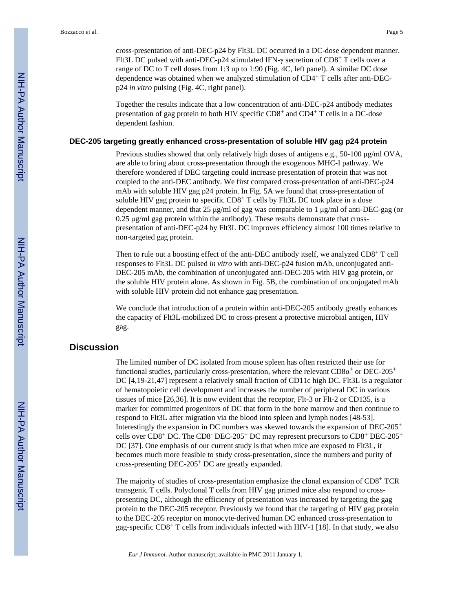cross-presentation of anti-DEC-p24 by Flt3L DC occurred in a DC-dose dependent manner. Flt3L DC pulsed with anti-DEC-p24 stimulated IFN-γ secretion of CD8+ T cells over a range of DC to T cell doses from 1:3 up to 1:90 (Fig. 4C, left panel). A similar DC dose dependence was obtained when we analyzed stimulation of CD4+ T cells after anti-DECp24 *in vitro* pulsing (Fig. 4C, right panel).

Together the results indicate that a low concentration of anti-DEC-p24 antibody mediates presentation of gag protein to both HIV specific CD8+ and CD4+ T cells in a DC-dose dependent fashion.

#### **DEC-205 targeting greatly enhanced cross-presentation of soluble HIV gag p24 protein**

Previous studies showed that only relatively high doses of antigens e.g., 50-100 μg/ml OVA, are able to bring about cross-presentation through the exogenous MHC-I pathway. We therefore wondered if DEC targeting could increase presentation of protein that was not coupled to the anti-DEC antibody. We first compared cross-presentation of anti-DEC-p24 mAb with soluble HIV gag p24 protein. In Fig. 5A we found that cross-presentation of soluble HIV gag protein to specific  $CD8<sup>+</sup>$  T cells by Flt3L DC took place in a dose dependent manner, and that 25 μg/ml of gag was comparable to 1 μg/ml of anti-DEC-gag (or 0.25 μg/ml gag protein within the antibody). These results demonstrate that crosspresentation of anti-DEC-p24 by Flt3L DC improves efficiency almost 100 times relative to non-targeted gag protein.

Then to rule out a boosting effect of the anti-DEC antibody itself, we analyzed CD8+ T cell responses to Flt3L DC pulsed *in vitro* with anti-DEC-p24 fusion mAb, unconjugated anti-DEC-205 mAb, the combination of unconjugated anti-DEC-205 with HIV gag protein, or the soluble HIV protein alone. As shown in Fig. 5B, the combination of unconjugated mAb with soluble HIV protein did not enhance gag presentation.

We conclude that introduction of a protein within anti-DEC-205 antibody greatly enhances the capacity of Flt3L-mobilized DC to cross-present a protective microbial antigen, HIV gag.

## **Discussion**

The limited number of DC isolated from mouse spleen has often restricted their use for functional studies, particularly cross-presentation, where the relevant  $CD8\alpha^+$  or  $DEC-205^+$ DC [4,19-21,47] represent a relatively small fraction of CD11c high DC. Flt3L is a regulator of hematopoietic cell development and increases the number of peripheral DC in various tissues of mice [26,36]. It is now evident that the receptor, Flt-3 or Flt-2 or CD135, is a marker for committed progenitors of DC that form in the bone marrow and then continue to respond to Flt3L after migration via the blood into spleen and lymph nodes [48-53]. Interestingly the expansion in DC numbers was skewed towards the expansion of DEC-205<sup>+</sup> cells over CD8+ DC. The CD8- DEC-205+ DC may represent precursors to CD8+ DEC-205<sup>+</sup> DC [37]. One emphasis of our current study is that when mice are exposed to Flt3L, it becomes much more feasible to study cross-presentation, since the numbers and purity of cross-presenting DEC-205+ DC are greatly expanded.

The majority of studies of cross-presentation emphasize the clonal expansion of CD8+ TCR transgenic T cells. Polyclonal T cells from HIV gag primed mice also respond to crosspresenting DC, although the efficiency of presentation was increased by targeting the gag protein to the DEC-205 receptor. Previously we found that the targeting of HIV gag protein to the DEC-205 receptor on monocyte-derived human DC enhanced cross-presentation to gag-specific  $CD8^+$  T cells from individuals infected with HIV-1 [18]. In that study, we also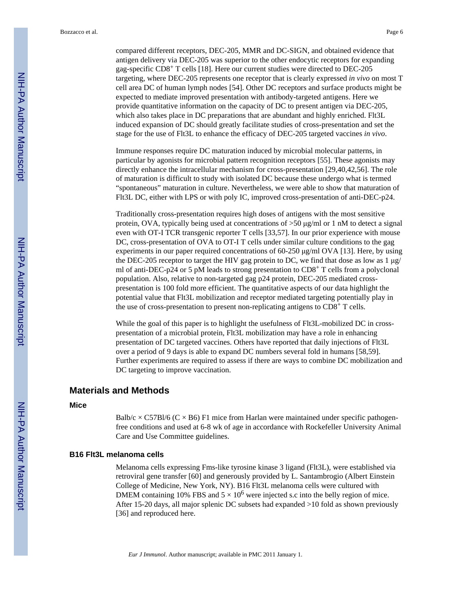compared different receptors, DEC-205, MMR and DC-SIGN, and obtained evidence that antigen delivery via DEC-205 was superior to the other endocytic receptors for expanding gag-specific CD8+ T cells [18]. Here our current studies were directed to DEC-205 targeting, where DEC-205 represents one receptor that is clearly expressed *in vivo* on most T cell area DC of human lymph nodes [54]. Other DC receptors and surface products might be expected to mediate improved presentation with antibody-targeted antigens. Here we provide quantitative information on the capacity of DC to present antigen via DEC-205, which also takes place in DC preparations that are abundant and highly enriched. Flt3L induced expansion of DC should greatly facilitate studies of cross-presentation and set the stage for the use of Flt3L to enhance the efficacy of DEC-205 targeted vaccines *in vivo*.

Immune responses require DC maturation induced by microbial molecular patterns, in particular by agonists for microbial pattern recognition receptors [55]. These agonists may directly enhance the intracellular mechanism for cross-presentation [29,40,42,56]. The role of maturation is difficult to study with isolated DC because these undergo what is termed "spontaneous" maturation in culture. Nevertheless, we were able to show that maturation of Flt3L DC, either with LPS or with poly IC, improved cross-presentation of anti-DEC-p24.

Traditionally cross-presentation requires high doses of antigens with the most sensitive protein, OVA, typically being used at concentrations of  $>50 \text{ µg/ml}$  or 1 nM to detect a signal even with OT-I TCR transgenic reporter T cells [33,57]. In our prior experience with mouse DC, cross-presentation of OVA to OT-I T cells under similar culture conditions to the gag experiments in our paper required concentrations of 60-250 μg/ml OVA [13]. Here, by using the DEC-205 receptor to target the HIV gag protein to DC, we find that dose as low as 1 μg/ ml of anti-DEC-p24 or 5 pM leads to strong presentation to  $CD8<sup>+</sup>$  T cells from a polyclonal population. Also, relative to non-targeted gag p24 protein, DEC-205 mediated crosspresentation is 100 fold more efficient. The quantitative aspects of our data highlight the potential value that Flt3L mobilization and receptor mediated targeting potentially play in the use of cross-presentation to present non-replicating antigens to  $CD8<sup>+</sup>$  T cells.

While the goal of this paper is to highlight the usefulness of Flt3L-mobilized DC in crosspresentation of a microbial protein, Flt3L mobilization may have a role in enhancing presentation of DC targeted vaccines. Others have reported that daily injections of Flt3L over a period of 9 days is able to expand DC numbers several fold in humans [58,59]. Further experiments are required to assess if there are ways to combine DC mobilization and DC targeting to improve vaccination.

## **Materials and Methods**

#### **Mice**

Balb/c  $\times$  C57Bl/6 (C  $\times$  B6) F1 mice from Harlan were maintained under specific pathogenfree conditions and used at 6-8 wk of age in accordance with Rockefeller University Animal Care and Use Committee guidelines.

#### **B16 Flt3L melanoma cells**

Melanoma cells expressing Fms-like tyrosine kinase 3 ligand (Flt3L), were established via retroviral gene transfer [60] and generously provided by L. Santambrogio (Albert Einstein College of Medicine, New York, NY). B16 Flt3L melanoma cells were cultured with DMEM containing 10% FBS and  $5 \times 10^6$  were injected s.c into the belly region of mice. After 15-20 days, all major splenic DC subsets had expanded >10 fold as shown previously [36] and reproduced here.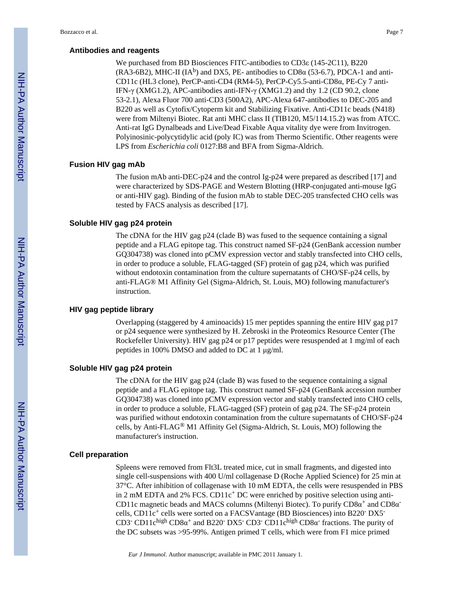#### **Antibodies and reagents**

We purchased from BD Biosciences FITC-antibodies to CD3ε (145-2C11), B220 (RA3-6B2), MHC-II ( $IA<sup>b</sup>$ ) and DX5, PE- antibodies to CD8 $\alpha$  (53-6.7), PDCA-1 and anti-CD11c (HL3 clone), PerCP-anti-CD4 (RM4-5), PerCP-Cy5.5-anti-CD8α, PE-Cy 7 anti-IFN-γ (XMG1.2), APC-antibodies anti-IFN-γ (XMG1.2) and thy 1.2 (CD 90.2, clone 53-2.1), Alexa Fluor 700 anti-CD3 (500A2), APC-Alexa 647-antibodies to DEC-205 and B220 as well as Cytofix/Cytoperm kit and Stabilizing Fixative. Anti-CD11c beads (N418) were from Miltenyi Biotec. Rat anti MHC class II (TIB120, M5/114.15.2) was from ATCC. Anti-rat IgG Dynalbeads and Live/Dead Fixable Aqua vitality dye were from Invitrogen. Polyinosinic-polycytidylic acid (poly IC) was from Thermo Scientific. Other reagents were LPS from *Escherichia coli* 0127:B8 and BFA from Sigma-Aldrich.

#### **Fusion HIV gag mAb**

The fusion mAb anti-DEC-p24 and the control Ig-p24 were prepared as described [17] and were characterized by SDS-PAGE and Western Blotting (HRP-conjugated anti-mouse IgG or anti-HIV gag). Binding of the fusion mAb to stable DEC-205 transfected CHO cells was tested by FACS analysis as described [17].

## **Soluble HIV gag p24 protein**

The cDNA for the HIV gag p24 (clade B) was fused to the sequence containing a signal peptide and a FLAG epitope tag. This construct named SF-p24 (GenBank accession number GQ304738) was cloned into pCMV expression vector and stably transfected into CHO cells, in order to produce a soluble, FLAG-tagged (SF) protein of gag p24, which was purified without endotoxin contamination from the culture supernatants of CHO/SF-p24 cells, by anti-FLAG® M1 Affinity Gel (Sigma-Aldrich, St. Louis, MO) following manufacturer's instruction.

### **HIV gag peptide library**

Overlapping (staggered by 4 aminoacids) 15 mer peptides spanning the entire HIV gag p17 or p24 sequence were synthesized by H. Zebroski in the Proteomics Resource Center (The Rockefeller University). HIV gag p24 or p17 peptides were resuspended at 1 mg/ml of each peptides in 100% DMSO and added to DC at 1 μg/ml.

## **Soluble HIV gag p24 protein**

The cDNA for the HIV gag p24 (clade B) was fused to the sequence containing a signal peptide and a FLAG epitope tag. This construct named SF-p24 (GenBank accession number GQ304738) was cloned into pCMV expression vector and stably transfected into CHO cells, in order to produce a soluble, FLAG-tagged (SF) protein of gag p24. The SF-p24 protein was purified without endotoxin contamination from the culture supernatants of CHO/SF-p24 cells, by Anti-FLAG® M1 Affinity Gel (Sigma-Aldrich, St. Louis, MO) following the manufacturer's instruction.

#### **Cell preparation**

Spleens were removed from Flt3L treated mice, cut in small fragments, and digested into single cell-suspensions with 400 U/ml collagenase D (Roche Applied Science) for 25 min at 37°C. After inhibition of collagenase with 10 mM EDTA, the cells were resuspended in PBS in 2 mM EDTA and 2% FCS. CD11 $c<sup>+</sup>$  DC were enriched by positive selection using anti-CD11c magnetic beads and MACS columns (Miltenyi Biotec). To purify  $CD8\alpha^+$  and  $CD8\alpha^$ cells, CD11c<sup>+</sup> cells were sorted on a FACSVantage (BD Biosciences) into B220<sup>-</sup> DX5<sup>-</sup> CD3<sup>-</sup> CD11c<sup>high</sup> CD8 $\alpha$ <sup>+</sup> and B220<sup>-</sup> DX5<sup>-</sup> CD3<sup>-</sup> CD11c<sup>high</sup> CD8 $\alpha$ <sup>-</sup> fractions. The purity of the DC subsets was >95-99%. Antigen primed T cells, which were from F1 mice primed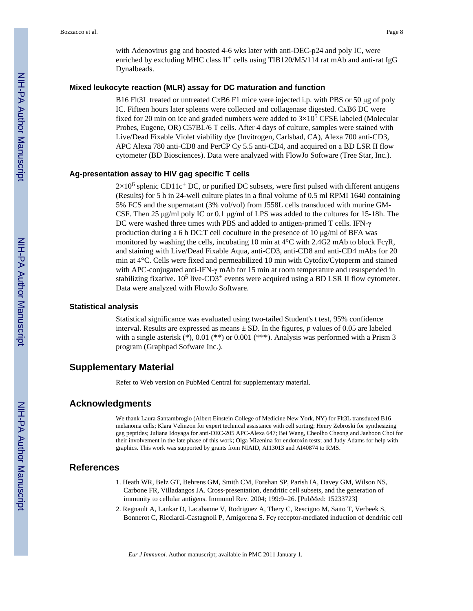with Adenovirus gag and boosted 4-6 wks later with anti-DEC-p24 and poly IC, were enriched by excluding MHC class  $II^+$  cells using TIB120/M5/114 rat mAb and anti-rat IgG Dynalbeads.

#### **Mixed leukocyte reaction (MLR) assay for DC maturation and function**

B16 Flt3L treated or untreated CxB6 F1 mice were injected i.p. with PBS or 50 μg of poly IC. Fifteen hours later spleens were collected and collagenase digested. CxB6 DC were fixed for 20 min on ice and graded numbers were added to  $3\times10^5$  CFSE labeled (Molecular Probes, Eugene, OR) C57BL/6 T cells. After 4 days of culture, samples were stained with Live/Dead Fixable Violet viability dye (Invitrogen, Carlsbad, CA), Alexa 700 anti-CD3, APC Alexa 780 anti-CD8 and PerCP Cy 5.5 anti-CD4, and acquired on a BD LSR II flow cytometer (BD Biosciences). Data were analyzed with FlowJo Software (Tree Star, Inc.).

#### **Ag-presentation assay to HIV gag specific T cells**

 $2\times10^6$  splenic CD11c<sup>+</sup> DC, or purified DC subsets, were first pulsed with different antigens (Results) for 5 h in 24-well culture plates in a final volume of 0.5 ml RPMI 1640 containing 5% FCS and the supernatant (3% vol/vol) from J558L cells transduced with murine GM-CSF. Then 25 μg/ml poly IC or 0.1 μg/ml of LPS was added to the cultures for 15-18h. The DC were washed three times with PBS and added to antigen-primed T cells. IFN-γ production during a 6 h DC:T cell coculture in the presence of 10 μg/ml of BFA was monitored by washing the cells, incubating 10 min at 4°C with 2.4G2 mAb to block FcγR, and staining with Live/Dead Fixable Aqua, anti-CD3, anti-CD8 and anti-CD4 mAbs for 20 min at 4°C. Cells were fixed and permeabilized 10 min with Cytofix/Cytoperm and stained with APC-conjugated anti-IFN- $\gamma$  mAb for 15 min at room temperature and resuspended in stabilizing fixative.  $10^5$  live-CD3<sup>+</sup> events were acquired using a BD LSR II flow cytometer. Data were analyzed with FlowJo Software.

#### **Statistical analysis**

Statistical significance was evaluated using two-tailed Student's t test, 95% confidence interval. Results are expressed as means  $\pm$  SD. In the figures, *p* values of 0.05 are labeled with a single asterisk  $(*)$ , 0.01  $(**)$  or 0.001  $(***)$ . Analysis was performed with a Prism 3 program (Graphpad Sofware Inc.).

## **Supplementary Material**

Refer to Web version on PubMed Central for supplementary material.

## **Acknowledgments**

We thank Laura Santambrogio (Albert Einstein College of Medicine New York, NY) for Flt3L transduced B16 melanoma cells; Klara Velinzon for expert technical assistance with cell sorting; Henry Zebroski for synthesizing gag peptides; Juliana Idoyaga for anti-DEC-205 APC-Alexa 647; Bei Wang, Cheolho Cheong and Jaehoon Choi for their involvement in the late phase of this work; Olga Mizenina for endotoxin tests; and Judy Adams for help with graphics. This work was supported by grants from NIAID, AI13013 and AI40874 to RMS.

## **References**

- 1. Heath WR, Belz GT, Behrens GM, Smith CM, Forehan SP, Parish IA, Davey GM, Wilson NS, Carbone FR, Villadangos JA. Cross-presentation, dendritic cell subsets, and the generation of immunity to cellular antigens. Immunol Rev. 2004; 199:9–26. [PubMed: 15233723]
- 2. Regnault A, Lankar D, Lacabanne V, Rodriguez A, Thery C, Rescigno M, Saito T, Verbeek S, Bonnerot C, Ricciardi-Castagnoli P, Amigorena S. Fcγ receptor-mediated induction of dendritic cell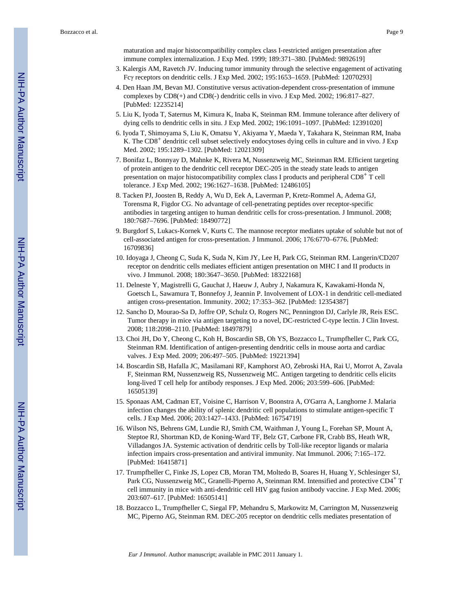maturation and major histocompatibility complex class I-restricted antigen presentation after immune complex internalization. J Exp Med. 1999; 189:371–380. [PubMed: 9892619]

- 3. Kalergis AM, Ravetch JV. Inducing tumor immunity through the selective engagement of activating Fcγ receptors on dendritic cells. J Exp Med. 2002; 195:1653–1659. [PubMed: 12070293]
- 4. Den Haan JM, Bevan MJ. Constitutive versus activation-dependent cross-presentation of immune complexes by CD8(+) and CD8(-) dendritic cells in vivo. J Exp Med. 2002; 196:817–827. [PubMed: 12235214]
- 5. Liu K, Iyoda T, Saternus M, Kimura K, Inaba K, Steinman RM. Immune tolerance after delivery of dying cells to dendritic cells in situ. J Exp Med. 2002; 196:1091–1097. [PubMed: 12391020]
- 6. Iyoda T, Shimoyama S, Liu K, Omatsu Y, Akiyama Y, Maeda Y, Takahara K, Steinman RM, Inaba K. The CD8<sup>+</sup> dendritic cell subset selectively endocytoses dying cells in culture and in vivo. J Exp Med. 2002; 195:1289–1302. [PubMed: 12021309]
- 7. Bonifaz L, Bonnyay D, Mahnke K, Rivera M, Nussenzweig MC, Steinman RM. Efficient targeting of protein antigen to the dendritic cell receptor DEC-205 in the steady state leads to antigen presentation on major histocompatibility complex class I products and peripheral CD8+ T cell tolerance. J Exp Med. 2002; 196:1627–1638. [PubMed: 12486105]
- 8. Tacken PJ, Joosten B, Reddy A, Wu D, Eek A, Laverman P, Kretz-Rommel A, Adema GJ, Torensma R, Figdor CG. No advantage of cell-penetrating peptides over receptor-specific antibodies in targeting antigen to human dendritic cells for cross-presentation. J Immunol. 2008; 180:7687–7696. [PubMed: 18490772]
- 9. Burgdorf S, Lukacs-Kornek V, Kurts C. The mannose receptor mediates uptake of soluble but not of cell-associated antigen for cross-presentation. J Immunol. 2006; 176:6770–6776. [PubMed: 16709836]
- 10. Idoyaga J, Cheong C, Suda K, Suda N, Kim JY, Lee H, Park CG, Steinman RM. Langerin/CD207 receptor on dendritic cells mediates efficient antigen presentation on MHC I and II products in vivo. J Immunol. 2008; 180:3647–3650. [PubMed: 18322168]
- 11. Delneste Y, Magistrelli G, Gauchat J, Haeuw J, Aubry J, Nakamura K, Kawakami-Honda N, Goetsch L, Sawamura T, Bonnefoy J, Jeannin P. Involvement of LOX-1 in dendritic cell-mediated antigen cross-presentation. Immunity. 2002; 17:353–362. [PubMed: 12354387]
- 12. Sancho D, Mourao-Sa D, Joffre OP, Schulz O, Rogers NC, Pennington DJ, Carlyle JR, Reis ESC. Tumor therapy in mice via antigen targeting to a novel, DC-restricted C-type lectin. J Clin Invest. 2008; 118:2098–2110. [PubMed: 18497879]
- 13. Choi JH, Do Y, Cheong C, Koh H, Boscardin SB, Oh YS, Bozzacco L, Trumpfheller C, Park CG, Steinman RM. Identification of antigen-presenting dendritic cells in mouse aorta and cardiac valves. J Exp Med. 2009; 206:497–505. [PubMed: 19221394]
- 14. Boscardin SB, Hafalla JC, Masilamani RF, Kamphorst AO, Zebroski HA, Rai U, Morrot A, Zavala F, Steinman RM, Nussenzweig RS, Nussenzweig MC. Antigen targeting to dendritic cells elicits long-lived T cell help for antibody responses. J Exp Med. 2006; 203:599–606. [PubMed: 16505139]
- 15. Sponaas AM, Cadman ET, Voisine C, Harrison V, Boonstra A, O'Garra A, Langhorne J. Malaria infection changes the ability of splenic dendritic cell populations to stimulate antigen-specific T cells. J Exp Med. 2006; 203:1427–1433. [PubMed: 16754719]
- 16. Wilson NS, Behrens GM, Lundie RJ, Smith CM, Waithman J, Young L, Forehan SP, Mount A, Steptoe RJ, Shortman KD, de Koning-Ward TF, Belz GT, Carbone FR, Crabb BS, Heath WR, Villadangos JA. Systemic activation of dendritic cells by Toll-like receptor ligands or malaria infection impairs cross-presentation and antiviral immunity. Nat Immunol. 2006; 7:165–172. [PubMed: 16415871]
- 17. Trumpfheller C, Finke JS, Lopez CB, Moran TM, Moltedo B, Soares H, Huang Y, Schlesinger SJ, Park CG, Nussenzweig MC, Granelli-Piperno A, Steinman RM. Intensified and protective CD4<sup>+</sup> T cell immunity in mice with anti-dendritic cell HIV gag fusion antibody vaccine. J Exp Med. 2006; 203:607–617. [PubMed: 16505141]
- 18. Bozzacco L, Trumpfheller C, Siegal FP, Mehandru S, Markowitz M, Carrington M, Nussenzweig MC, Piperno AG, Steinman RM. DEC-205 receptor on dendritic cells mediates presentation of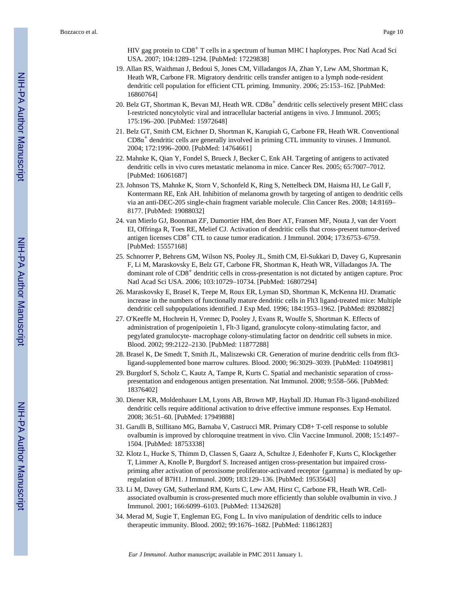HIV gag protein to CD8+ T cells in a spectrum of human MHC I haplotypes. Proc Natl Acad Sci USA. 2007; 104:1289–1294. [PubMed: 17229838]

- 19. Allan RS, Waithman J, Bedoui S, Jones CM, Villadangos JA, Zhan Y, Lew AM, Shortman K, Heath WR, Carbone FR. Migratory dendritic cells transfer antigen to a lymph node-resident dendritic cell population for efficient CTL priming. Immunity. 2006; 25:153–162. [PubMed: 16860764]
- 20. Belz GT, Shortman K, Bevan MJ, Heath WR.  $CD8\alpha^+$  dendritic cells selectively present MHC class I-restricted noncytolytic viral and intracellular bacterial antigens in vivo. J Immunol. 2005; 175:196–200. [PubMed: 15972648]
- 21. Belz GT, Smith CM, Eichner D, Shortman K, Karupiah G, Carbone FR, Heath WR. Conventional CD8α <sup>+</sup> dendritic cells are generally involved in priming CTL immunity to viruses. J Immunol. 2004; 172:1996–2000. [PubMed: 14764661]
- 22. Mahnke K, Qian Y, Fondel S, Brueck J, Becker C, Enk AH. Targeting of antigens to activated dendritic cells in vivo cures metastatic melanoma in mice. Cancer Res. 2005; 65:7007–7012. [PubMed: 16061687]
- 23. Johnson TS, Mahnke K, Storn V, Schonfeld K, Ring S, Nettelbeck DM, Haisma HJ, Le Gall F, Kontermann RE, Enk AH. Inhibition of melanoma growth by targeting of antigen to dendritic cells via an anti-DEC-205 single-chain fragment variable molecule. Clin Cancer Res. 2008; 14:8169– 8177. [PubMed: 19088032]
- 24. van Mierlo GJ, Boonman ZF, Dumortier HM, den Boer AT, Fransen MF, Nouta J, van der Voort EI, Offringa R, Toes RE, Melief CJ. Activation of dendritic cells that cross-present tumor-derived antigen licenses CD8+ CTL to cause tumor eradication. J Immunol. 2004; 173:6753–6759. [PubMed: 15557168]
- 25. Schnorrer P, Behrens GM, Wilson NS, Pooley JL, Smith CM, El-Sukkari D, Davey G, Kupresanin F, Li M, Maraskovsky E, Belz GT, Carbone FR, Shortman K, Heath WR, Villadangos JA. The dominant role of CD8+ dendritic cells in cross-presentation is not dictated by antigen capture. Proc Natl Acad Sci USA. 2006; 103:10729–10734. [PubMed: 16807294]
- 26. Maraskovsky E, Brasel K, Teepe M, Roux ER, Lyman SD, Shortman K, McKenna HJ. Dramatic increase in the numbers of functionally mature dendritic cells in Flt3 ligand-treated mice: Multiple dendritic cell subpopulations identified. J Exp Med. 1996; 184:1953–1962. [PubMed: 8920882]
- 27. O'Keeffe M, Hochrein H, Vremec D, Pooley J, Evans R, Woulfe S, Shortman K. Effects of administration of progenipoietin 1, Flt-3 ligand, granulocyte colony-stimulating factor, and pegylated granulocyte- macrophage colony-stimulating factor on dendritic cell subsets in mice. Blood. 2002; 99:2122–2130. [PubMed: 11877288]
- 28. Brasel K, De Smedt T, Smith JL, Maliszewski CR. Generation of murine dendritic cells from flt3 ligand-supplemented bone marrow cultures. Blood. 2000; 96:3029–3039. [PubMed: 11049981]
- 29. Burgdorf S, Scholz C, Kautz A, Tampe R, Kurts C. Spatial and mechanistic separation of crosspresentation and endogenous antigen presentation. Nat Immunol. 2008; 9:558–566. [PubMed: 18376402]
- 30. Diener KR, Moldenhauer LM, Lyons AB, Brown MP, Hayball JD. Human Flt-3 ligand-mobilized dendritic cells require additional activation to drive effective immune responses. Exp Hematol. 2008; 36:51–60. [PubMed: 17949888]
- 31. Garulli B, Stillitano MG, Barnaba V, Castrucci MR. Primary CD8+ T-cell response to soluble ovalbumin is improved by chloroquine treatment in vivo. Clin Vaccine Immunol. 2008; 15:1497– 1504. [PubMed: 18753338]
- 32. Klotz L, Hucke S, Thimm D, Classen S, Gaarz A, Schultze J, Edenhofer F, Kurts C, Klockgether T, Limmer A, Knolle P, Burgdorf S. Increased antigen cross-presentation but impaired crosspriming after activation of peroxisome proliferator-activated receptor {gamma} is mediated by upregulation of B7H1. J Immunol. 2009; 183:129–136. [PubMed: 19535643]
- 33. Li M, Davey GM, Sutherland RM, Kurts C, Lew AM, Hirst C, Carbone FR, Heath WR. Cellassociated ovalbumin is cross-presented much more efficiently than soluble ovalbumin in vivo. J Immunol. 2001; 166:6099–6103. [PubMed: 11342628]
- 34. Merad M, Sugie T, Engleman EG, Fong L. In vivo manipulation of dendritic cells to induce therapeutic immunity. Blood. 2002; 99:1676–1682. [PubMed: 11861283]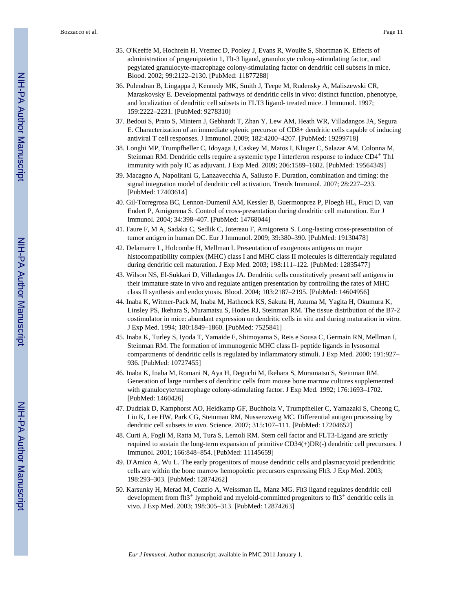- 35. O'Keeffe M, Hochrein H, Vremec D, Pooley J, Evans R, Woulfe S, Shortman K. Effects of administration of progenipoietin 1, Flt-3 ligand, granulocyte colony-stimulating factor, and pegylated granulocyte-macrophage colony-stimulating factor on dendritic cell subsets in mice. Blood. 2002; 99:2122–2130. [PubMed: 11877288]
- 36. Pulendran B, Lingappa J, Kennedy MK, Smith J, Teepe M, Rudensky A, Maliszewski CR, Maraskovsky E. Developmental pathways of dendritic cells in vivo: distinct function, phenotype, and localization of dendritic cell subsets in FLT3 ligand- treated mice. J Immunol. 1997; 159:2222–2231. [PubMed: 9278310]
- 37. Bedoui S, Prato S, Mintern J, Gebhardt T, Zhan Y, Lew AM, Heath WR, Villadangos JA, Segura E. Characterization of an immediate splenic precursor of CD8+ dendritic cells capable of inducing antiviral T cell responses. J Immunol. 2009; 182:4200–4207. [PubMed: 19299718]
- 38. Longhi MP, Trumpfheller C, Idoyaga J, Caskey M, Matos I, Kluger C, Salazar AM, Colonna M, Steinman RM. Dendritic cells require a systemic type I interferon response to induce CD4+ Th1 immunity with poly IC as adjuvant. J Exp Med. 2009; 206:1589–1602. [PubMed: 19564349]
- 39. Macagno A, Napolitani G, Lanzavecchia A, Sallusto F. Duration, combination and timing: the signal integration model of dendritic cell activation. Trends Immunol. 2007; 28:227–233. [PubMed: 17403614]
- 40. Gil-Torregrosa BC, Lennon-Dumenil AM, Kessler B, Guermonprez P, Ploegh HL, Fruci D, van Endert P, Amigorena S. Control of cross-presentation during dendritic cell maturation. Eur J Immunol. 2004; 34:398–407. [PubMed: 14768044]
- 41. Faure F, M A, Sadaka C, Sedlik C, Jotereau F, Amigorena S. Long-lasting cross-presentation of tumor antigen in human DC. Eur J Immunol. 2009; 39:380–390. [PubMed: 19130478]
- 42. Delamarre L, Holcombe H, Mellman I. Presentation of exogenous antigens on major histocompatibility complex (MHC) class I and MHC class II molecules is differentialy regulated during dendritic cell maturation. J Exp Med. 2003; 198:111–122. [PubMed: 12835477]
- 43. Wilson NS, El-Sukkari D, Villadangos JA. Dendritic cells constitutively present self antigens in their immature state in vivo and regulate antigen presentation by controlling the rates of MHC class II synthesis and endocytosis. Blood. 2004; 103:2187–2195. [PubMed: 14604956]
- 44. Inaba K, Witmer-Pack M, Inaba M, Hathcock KS, Sakuta H, Azuma M, Yagita H, Okumura K, Linsley PS, Ikehara S, Muramatsu S, Hodes RJ, Steinman RM. The tissue distribution of the B7-2 costimulator in mice: abundant expression on dendritic cells in situ and during maturation in vitro. J Exp Med. 1994; 180:1849–1860. [PubMed: 7525841]
- 45. Inaba K, Turley S, Iyoda T, Yamaide F, Shimoyama S, Reis e Sousa C, Germain RN, Mellman I, Steinman RM. The formation of immunogenic MHC class II- peptide ligands in lysosomal compartments of dendritic cells is regulated by inflammatory stimuli. J Exp Med. 2000; 191:927– 936. [PubMed: 10727455]
- 46. Inaba K, Inaba M, Romani N, Aya H, Deguchi M, Ikehara S, Muramatsu S, Steinman RM. Generation of large numbers of dendritic cells from mouse bone marrow cultures supplemented with granulocyte/macrophage colony-stimulating factor. J Exp Med. 1992; 176:1693–1702. [PubMed: 1460426]
- 47. Dudziak D, Kamphorst AO, Heidkamp GF, Buchholz V, Trumpfheller C, Yamazaki S, Cheong C, Liu K, Lee HW, Park CG, Steinman RM, Nussenzweig MC. Differential antigen processing by dendritic cell subsets *in vivo*. Science. 2007; 315:107–111. [PubMed: 17204652]
- 48. Curti A, Fogli M, Ratta M, Tura S, Lemoli RM. Stem cell factor and FLT3-Ligand are strictly required to sustain the long-term expansion of primitive CD34(+)DR(-) dendritic cell precursors. J Immunol. 2001; 166:848–854. [PubMed: 11145659]
- 49. D'Amico A, Wu L. The early progenitors of mouse dendritic cells and plasmacytoid predendritic cells are within the bone marrow hemopoietic precursors expressing Flt3. J Exp Med. 2003; 198:293–303. [PubMed: 12874262]
- 50. Karsunky H, Merad M, Cozzio A, Weissman IL, Manz MG. Flt3 ligand regulates dendritic cell development from flt3<sup>+</sup> lymphoid and myeloid-committed progenitors to flt3<sup>+</sup> dendritic cells in vivo. J Exp Med. 2003; 198:305–313. [PubMed: 12874263]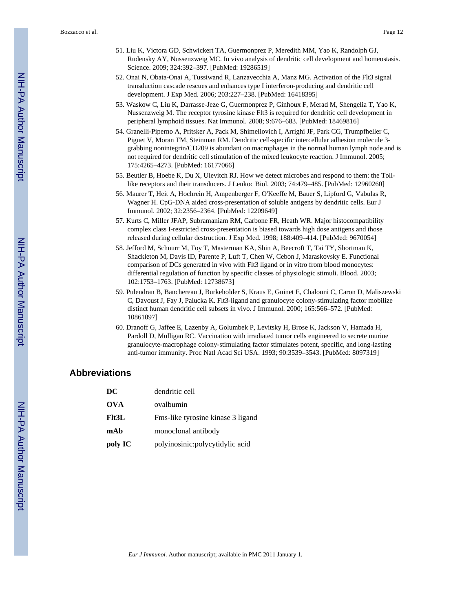- 51. Liu K, Victora GD, Schwickert TA, Guermonprez P, Meredith MM, Yao K, Randolph GJ, Rudensky AY, Nussenzweig MC. In vivo analysis of dendritic cell development and homeostasis. Science. 2009; 324:392–397. [PubMed: 19286519]
- 52. Onai N, Obata-Onai A, Tussiwand R, Lanzavecchia A, Manz MG. Activation of the Flt3 signal transduction cascade rescues and enhances type I interferon-producing and dendritic cell development. J Exp Med. 2006; 203:227–238. [PubMed: 16418395]
- 53. Waskow C, Liu K, Darrasse-Jeze G, Guermonprez P, Ginhoux F, Merad M, Shengelia T, Yao K, Nussenzweig M. The receptor tyrosine kinase Flt3 is required for dendritic cell development in peripheral lymphoid tissues. Nat Immunol. 2008; 9:676–683. [PubMed: 18469816]
- 54. Granelli-Piperno A, Pritsker A, Pack M, Shimeliovich I, Arrighi JF, Park CG, Trumpfheller C, Piguet V, Moran TM, Steinman RM. Dendritic cell-specific intercellular adhesion molecule 3 grabbing nonintegrin/CD209 is abundant on macrophages in the normal human lymph node and is not required for dendritic cell stimulation of the mixed leukocyte reaction. J Immunol. 2005; 175:4265–4273. [PubMed: 16177066]
- 55. Beutler B, Hoebe K, Du X, Ulevitch RJ. How we detect microbes and respond to them: the Tolllike receptors and their transducers. J Leukoc Biol. 2003; 74:479–485. [PubMed: 12960260]
- 56. Maurer T, Heit A, Hochrein H, Ampenberger F, O'Keeffe M, Bauer S, Lipford G, Vabulas R, Wagner H. CpG-DNA aided cross-presentation of soluble antigens by dendritic cells. Eur J Immunol. 2002; 32:2356–2364. [PubMed: 12209649]
- 57. Kurts C, Miller JFAP, Subramaniam RM, Carbone FR, Heath WR. Major histocompatibility complex class I-restricted cross-presentation is biased towards high dose antigens and those released during cellular destruction. J Exp Med. 1998; 188:409–414. [PubMed: 9670054]
- 58. Jefford M, Schnurr M, Toy T, Masterman KA, Shin A, Beecroft T, Tai TY, Shortman K, Shackleton M, Davis ID, Parente P, Luft T, Chen W, Cebon J, Maraskovsky E. Functional comparison of DCs generated in vivo with Flt3 ligand or in vitro from blood monocytes: differential regulation of function by specific classes of physiologic stimuli. Blood. 2003; 102:1753–1763. [PubMed: 12738673]
- 59. Pulendran B, Banchereau J, Burkeholder S, Kraus E, Guinet E, Chalouni C, Caron D, Maliszewski C, Davoust J, Fay J, Palucka K. Flt3-ligand and granulocyte colony-stimulating factor mobilize distinct human dendritic cell subsets in vivo. J Immunol. 2000; 165:566–572. [PubMed: 10861097]
- 60. Dranoff G, Jaffee E, Lazenby A, Golumbek P, Levitsky H, Brose K, Jackson V, Hamada H, Pardoll D, Mulligan RC. Vaccination with irradiated tumor cells engineered to secrete murine granulocyte-macrophage colony-stimulating factor stimulates potent, specific, and long-lasting anti-tumor immunity. Proc Natl Acad Sci USA. 1993; 90:3539–3543. [PubMed: 8097319]

## **Abbreviations**

| DC         | dendritic cell                    |
|------------|-----------------------------------|
| <b>OVA</b> | ovalbumin                         |
| F1t3L      | Fms-like tyrosine kinase 3 ligand |
| mAb        | monoclonal antibody               |
| poly IC    | polyinosinic:polycytidylic acid   |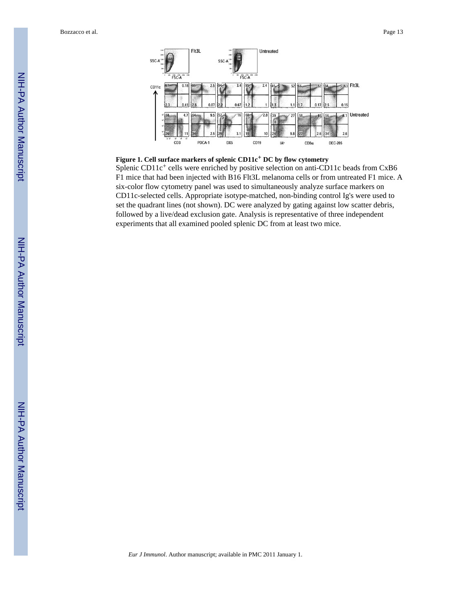Bozzacco et al. Page 13



### **Figure 1. Cell surface markers of splenic CD11c+ DC by flow cytometry**

Splenic CD11c<sup>+</sup> cells were enriched by positive selection on anti-CD11c beads from CxB6 F1 mice that had been injected with B16 Flt3L melanoma cells or from untreated F1 mice. A six-color flow cytometry panel was used to simultaneously analyze surface markers on CD11c-selected cells. Appropriate isotype-matched, non-binding control Ig's were used to set the quadrant lines (not shown). DC were analyzed by gating against low scatter debris, followed by a live/dead exclusion gate. Analysis is representative of three independent experiments that all examined pooled splenic DC from at least two mice.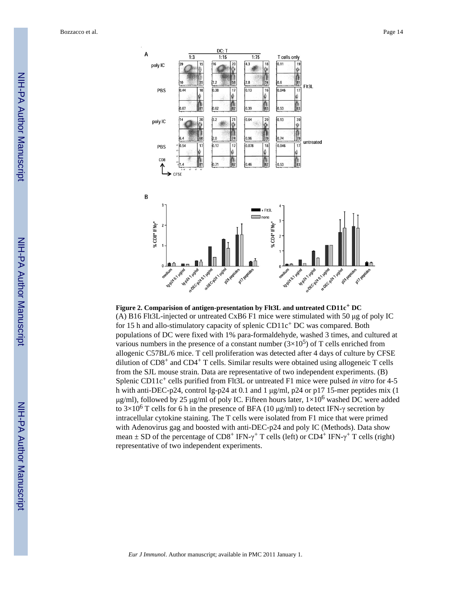Bozzacco et al. Page 14



## **Figure 2. Comparision of antigen-presentation by Flt3L and untreated CD11c+ DC** (A) B16 Flt3L-injected or untreated CxB6 F1 mice were stimulated with 50 μg of poly IC for 15 h and allo-stimulatory capacity of splenic CD11c<sup>+</sup> DC was compared. Both populations of DC were fixed with 1% para-formaldehyde, washed 3 times, and cultured at various numbers in the presence of a constant number  $(3\times10^5)$  of T cells enriched from allogenic C57BL/6 mice. T cell proliferation was detected after 4 days of culture by CFSE dilution of  $CD8<sup>+</sup>$  and  $CD4<sup>+</sup>$  T cells. Similar results were obtained using allogeneic T cells from the SJL mouse strain. Data are representative of two independent experiments. (B) Splenic CD11c<sup>+</sup> cells purified from Flt3L or untreated F1 mice were pulsed *in vitro* for 4-5 h with anti-DEC-p24, control Ig-p24 at 0.1 and 1 μg/ml, p24 or p17 15-mer peptides mix (1 μg/ml), followed by 25 μg/ml of poly IC. Fifteen hours later,  $1\times10^6$  washed DC were added to  $3\times10^6$  T cells for 6 h in the presence of BFA (10 μg/ml) to detect IFN-γ secretion by intracellular cytokine staining. The T cells were isolated from F1 mice that were primed with Adenovirus gag and boosted with anti-DEC-p24 and poly IC (Methods). Data show mean  $\pm$  SD of the percentage of CD8<sup>+</sup> IFN- $\gamma$ <sup>+</sup> T cells (left) or CD4<sup>+</sup> IFN- $\gamma$ <sup>+</sup> T cells (right) representative of two independent experiments.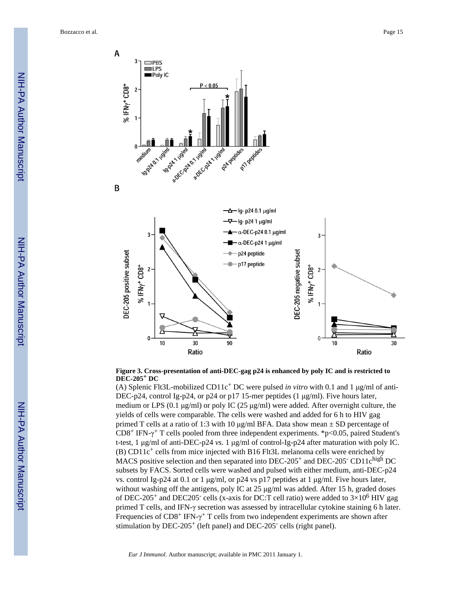Bozzacco et al. Page 15





#### **Figure 3. Cross-presentation of anti-DEC-gag p24 is enhanced by poly IC and is restricted to DEC-205+ DC**

(A) Splenic Flt3L-mobilized CD11c+ DC were pulsed *in vitro* with 0.1 and 1 μg/ml of anti-DEC-p24, control Ig-p24, or p24 or p17 15-mer peptides (1 μg/ml). Five hours later, medium or LPS (0.1 μg/ml) or poly IC (25 μg/ml) were added. After overnight culture, the yields of cells were comparable. The cells were washed and added for 6 h to HIV gag primed T cells at a ratio of 1:3 with 10  $\mu$ g/ml BFA. Data show mean  $\pm$  SD percentage of  $CD8^+$  IFN- $\gamma^+$  T cells pooled from three independent experiments. \*p<0.05, paired Student's t-test, 1 μg/ml of anti-DEC-p24 *vs.* 1 μg/ml of control-Ig-p24 after maturation with poly IC.  $(B)$  CD11c<sup>+</sup> cells from mice injected with B16 Flt3L melanoma cells were enriched by MACS positive selection and then separated into DEC-205<sup>+</sup> and DEC-205<sup>-</sup> CD11c<sup>high</sup> DC subsets by FACS. Sorted cells were washed and pulsed with either medium, anti-DEC-p24 vs. control Ig-p24 at 0.1 or 1 μg/ml, or p24 vs p17 peptides at 1 μg/ml. Five hours later, without washing off the antigens, poly IC at 25 μg/ml was added. After 15 h, graded doses of DEC-205<sup>+</sup> and DEC205<sup>-</sup> cells (x-axis for DC:T cell ratio) were added to  $3\times10^6$  HIV gag primed T cells, and IFN-γ secretion was assessed by intracellular cytokine staining 6 h later. Frequencies of  $CD8^+$  IFN- $\gamma^+$  T cells from two independent experiments are shown after stimulation by DEC-205<sup>+</sup> (left panel) and DEC-205<sup>-</sup> cells (right panel).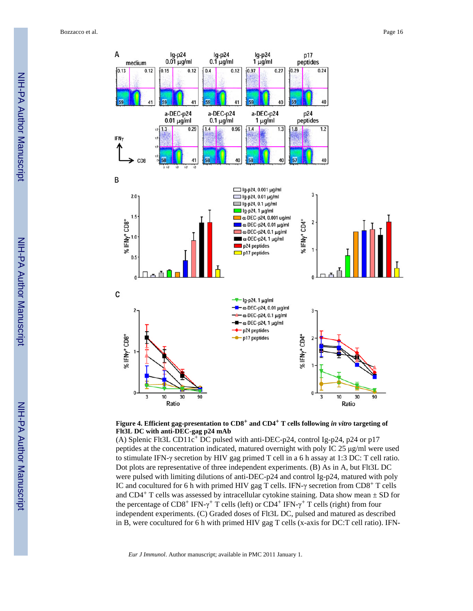

**Figure 4. Efficient gag-presentation to CD8+ and CD4+ T cells following** *in vitro* **targeting of Flt3L DC with anti-DEC-gag p24 mAb**

(A) Splenic Flt3L CD11c+ DC pulsed with anti-DEC-p24, control Ig-p24, p24 or p17 peptides at the concentration indicated, matured overnight with poly IC 25 μg/ml were used to stimulate IFN-γ secretion by HIV gag primed T cell in a 6 h assay at 1:3 DC: T cell ratio. Dot plots are representative of three independent experiments. (B) As in A, but Flt3L DC were pulsed with limiting dilutions of anti-DEC-p24 and control Ig-p24, matured with poly IC and cocultured for 6 h with primed HIV gag T cells. IFN- $\gamma$  secretion from CD8<sup>+</sup> T cells and CD4<sup>+</sup> T cells was assessed by intracellular cytokine staining. Data show mean  $\pm$  SD for the percentage of CD8<sup>+</sup> IFN- $\gamma$ <sup>+</sup> T cells (left) or CD4<sup>+</sup> IFN- $\gamma$ <sup>+</sup> T cells (right) from four independent experiments. (C) Graded doses of Flt3L DC, pulsed and matured as described in B, were cocultured for 6 h with primed HIV gag T cells (x-axis for DC:T cell ratio). IFN-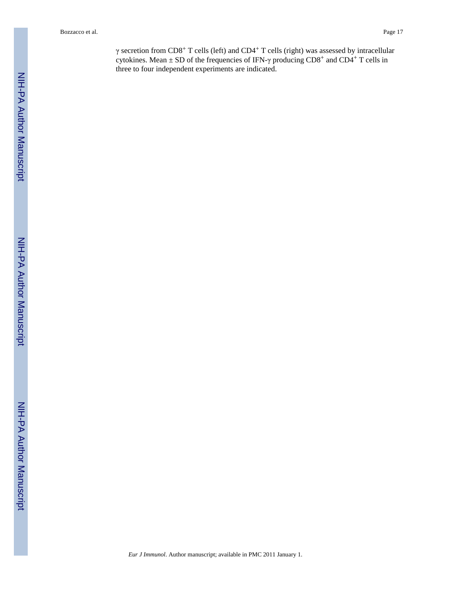Bozzacco et al. Page 17

γ secretion from CD8<sup>+</sup> T cells (left) and CD4<sup>+</sup> T cells (right) was assessed by intracellular cytokines. Mean  $\pm$  SD of the frequencies of IFN- $\gamma$  producing CD8<sup>+</sup> and CD4<sup>+</sup> T cells in three to four independent experiments are indicated.